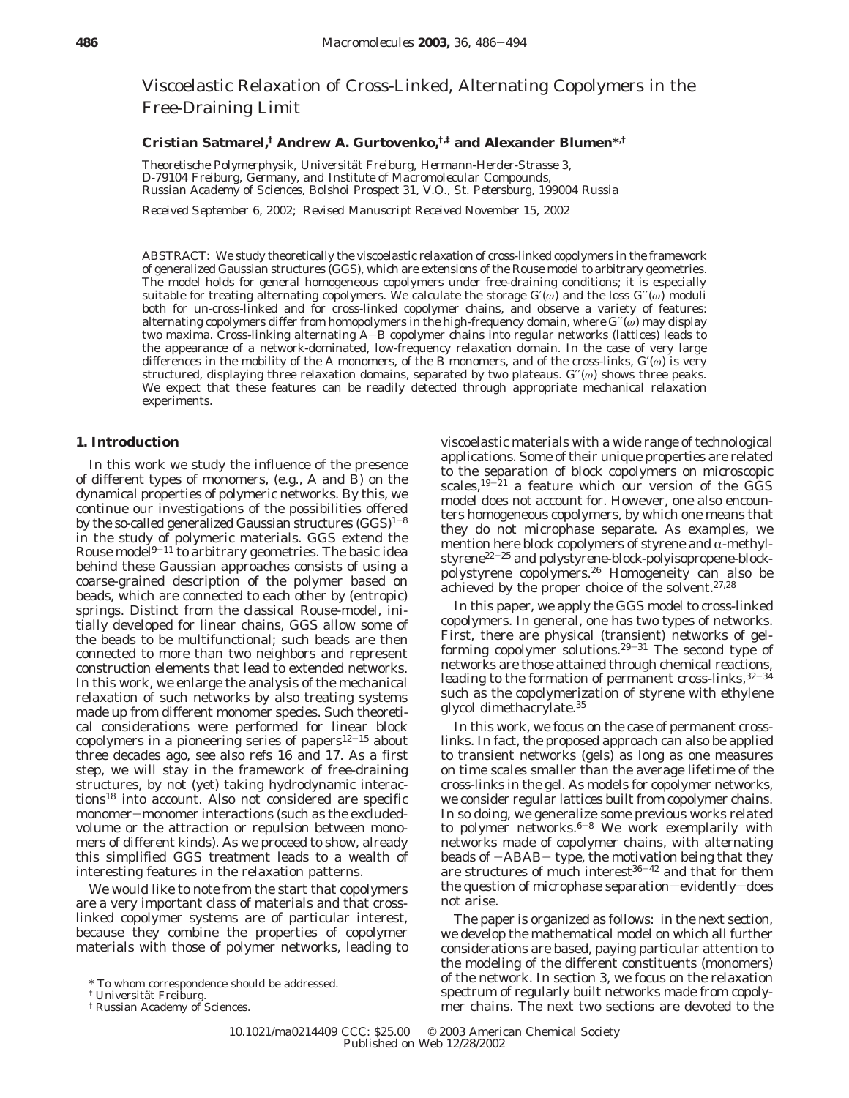Viscoelastic Relaxation of Cross-Linked, Alternating Copolymers in the Free-Draining Limit

# **Cristian Satmarel,† Andrew A. Gurtovenko,†,‡ and Alexander Blumen\*,†**

*Theoretische Polymerphysik, Universita*¨*t Freiburg, Hermann-Herder-Strasse 3, D-79104 Freiburg, Germany, and Institute of Macromolecular Compounds, Russian Academy of Sciences, Bolshoi Prospect 31, V.O., St. Petersburg, 199004 Russia*

*Received September 6, 2002; Revised Manuscript Received November 15, 2002*

ABSTRACT: We study theoretically the viscoelastic relaxation of cross-linked copolymers in the framework of generalized Gaussian structures (GGS), which are extensions of the Rouse model to arbitrary geometries. The model holds for general homogeneous copolymers under free-draining conditions; it is especially suitable for treating alternating copolymers. We calculate the storage  $G'(\omega)$  and the loss  $G'(\omega)$  moduli both for un-cross-linked and for cross-linked copolymer chains, and observe a variety of features: alternating copolymers differ from homopolymers in the high-frequency domain, where *G*′′(*ω*) may display two maxima. Cross-linking alternating A-B copolymer chains into regular networks (lattices) leads to the appearance of a network-dominated, low-frequency relaxation domain. In the case of very large differences in the mobility of the A monomers, of the B monomers, and of the cross-links, *G*′(*ω*) is very structured, displaying three relaxation domains, separated by two plateaus. *G*′′(*ω*) shows three peaks. We expect that these features can be readily detected through appropriate mechanical relaxation experiments.

### **1. Introduction**

In this work we study the influence of the presence of different types of monomers, (e.g., A and B) on the dynamical properties of polymeric networks. By this, we continue our investigations of the possibilities offered by the so-called generalized Gaussian structures  $(GGS)^{1-8}$ in the study of polymeric materials. GGS extend the Rouse model<sup>9-11</sup> to arbitrary geometries. The basic idea behind these Gaussian approaches consists of using a coarse-grained description of the polymer based on beads, which are connected to each other by (entropic) springs. Distinct from the classical Rouse-model, initially developed for linear chains, GGS allow some of the beads to be multifunctional; such beads are then connected to more than two neighbors and represent construction elements that lead to extended networks. In this work, we enlarge the analysis of the mechanical relaxation of such networks by also treating systems made up from different monomer species. Such theoretical considerations were performed for linear block copolymers in a pioneering series of papers $12-15$  about three decades ago, see also refs 16 and 17. As a first step, we will stay in the framework of free-draining structures, by not (yet) taking hydrodynamic interactions18 into account. Also not considered are specific monomer-monomer interactions (such as the excludedvolume or the attraction or repulsion between monomers of different kinds). As we proceed to show, already this simplified GGS treatment leads to a wealth of interesting features in the relaxation patterns.

We would like to note from the start that copolymers are a very important class of materials and that crosslinked copolymer systems are of particular interest, because they combine the properties of copolymer materials with those of polymer networks, leading to viscoelastic materials with a wide range of technological applications. Some of their unique properties are related to the separation of block copolymers on microscopic scales,<sup>19-21</sup> a feature which our version of the GGS model does not account for. However, one also encounters homogeneous copolymers, by which one means that they do not microphase separate. As examples, we mention here block copolymers of styrene and  $\alpha$ -methylstyrene22-<sup>25</sup> and polystyrene-*block*-polyisopropene-*block*polystyrene copolymers.26 Homogeneity can also be achieved by the proper choice of the solvent.27,28

In this paper, we apply the GGS model to cross-linked copolymers. In general, one has two types of networks. First, there are physical (transient) networks of gelforming copolymer solutions.<sup>29-31</sup> The second type of networks are those attained through chemical reactions, leading to the formation of permanent cross-links,  $^{32-34}$ such as the copolymerization of styrene with ethylene glycol dimethacrylate.35

In this work, we focus on the case of permanent crosslinks. In fact, the proposed approach can also be applied to transient networks (gels) as long as one measures on time scales smaller than the average lifetime of the cross-links in the gel. As models for copolymer networks, we consider regular lattices built from copolymer chains. In so doing, we generalize some previous works related to polymer networks. $6-8$  We work exemplarily with networks made of copolymer chains, with alternating beads of  $-ABAB$ - type, the motivation being that they are structures of much interest $36-42$  and that for them the question of microphase separation-evidently-does not arise.

The paper is organized as follows: in the next section, we develop the mathematical model on which all further considerations are based, paying particular attention to the modeling of the different constituents (monomers) of the network. In section 3, we focus on the relaxation spectrum of regularly built networks made from copolymer chains. The next two sections are devoted to the

 $*$  To whom correspondence should be addressed.<br> $\dagger$  Universität Freiburg.

<sup>&</sup>lt;sup>‡</sup> Russian Academy of Sciences.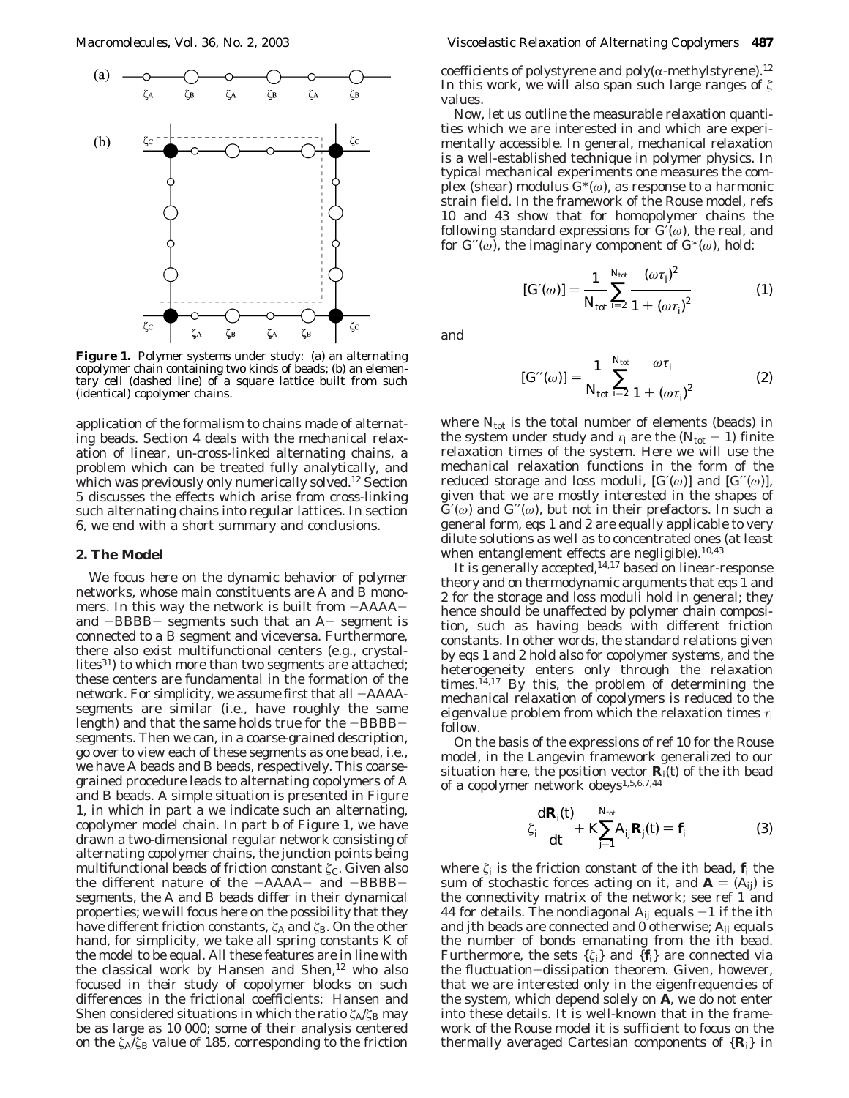

**Figure 1.** Polymer systems under study: (a) an alternating copolymer chain containing two kinds of beads; (b) an elementary cell (dashed line) of a square lattice built from such (identical) copolymer chains.

application of the formalism to chains made of alternating beads. Section 4 deals with the mechanical relaxation of linear, un-cross-linked alternating chains, a problem which can be treated fully analytically, and which was previously only numerically solved.<sup>12</sup> Section 5 discusses the effects which arise from cross-linking such alternating chains into regular lattices. In section 6, we end with a short summary and conclusions.

#### **2. The Model**

We focus here on the dynamic behavior of polymer networks, whose main constituents are A and B monomers. In this way the network is built from -AAAAand  $-BBBB-$  segments such that an  $A-$  segment is connected to a B segment and viceversa. Furthermore, there also exist multifunctional centers (e.g., crystallites<sup>31</sup>) to which more than two segments are attached; these centers are fundamental in the formation of the network. For simplicity, we assume first that all  $-AAAA$ segments are similar (i.e., have roughly the same length) and that the same holds true for the -BBBBsegments. Then we can, in a coarse-grained description, go over to view each of these segments as one bead, i.e., we have A beads and B beads, respectively. This coarsegrained procedure leads to alternating copolymers of A and B beads. A simple situation is presented in Figure 1, in which in part a we indicate such an alternating, copolymer model chain. In part b of Figure 1, we have drawn a two-dimensional regular network consisting of alternating copolymer chains, the junction points being multifunctional beads of friction constant *ζ*<sub>C</sub>. Given also the different nature of the -AAAA- and -BBBBsegments, the A and B beads differ in their dynamical properties; we will focus here on the possibility that they have different friction constants, ζ<sub>A</sub> and ζ<sub>B</sub>. On the other hand, for simplicity, we take all spring constants *K* of the model to be equal. All these features are in line with the classical work by Hansen and Shen,<sup>12</sup> who also focused in their study of copolymer blocks on such differences in the frictional coefficients: Hansen and Shen considered situations in which the ratio  $\zeta_A/\zeta_B$  may be as large as 10 000; some of their analysis centered on the *ú*A/*ú*<sup>B</sup> value of 185, corresponding to the friction

coefficients of polystyrene and  $poly(\alpha$ -methylstyrene).<sup>12</sup> In this work, we will also span such large ranges of  $\zeta$ values.

Now, let us outline the measurable relaxation quantities which we are interested in and which are experimentally accessible. In general, mechanical relaxation is a well-established technique in polymer physics. In typical mechanical experiments one measures the complex (shear) modulus *G*\*(*ω*), as response to a harmonic strain field. In the framework of the Rouse model, refs 10 and 43 show that for homopolymer chains the following standard expressions for *G*′(*ω*), the real, and for  $G''(\omega)$ , the imaginary component of  $G^*(\omega)$ , hold:

$$
[G'(\omega)] = \frac{1}{N_{\text{tot}}} \sum_{i=2}^{N_{\text{tot}}} \frac{(\omega \tau_i)^2}{1 + (\omega \tau_i)^2}
$$
 (1)

and

$$
[G'(\omega)] = \frac{1}{N_{\text{tot}}} \sum_{i=2}^{N_{\text{tot}}} \frac{\omega \tau_i}{1 + (\omega \tau_j)^2}
$$
 (2)

where  $N_{\text{tot}}$  is the total number of elements (beads) in the system under study and  $\tau_i$  are the ( $N_{\text{tot}} - 1$ ) finite relaxation times of the system. Here we will use the mechanical relaxation functions in the form of the reduced storage and loss moduli,  $[G(\omega)]$  and  $[G'(\omega)]$ , given that we are mostly interested in the shapes of  $G'(\omega)$  and  $G''(\omega)$ , but not in their prefactors. In such a general form, eqs 1 and 2 are equally applicable to very dilute solutions as well as to concentrated ones (at least when entanglement effects are negligible).<sup>10,43</sup>

It is generally accepted,<sup>14,17</sup> based on linear-response theory and on thermodynamic arguments that eqs 1 and 2 for the storage and loss moduli hold in general; they hence should be unaffected by polymer chain composition, such as having beads with different friction constants. In other words, the standard relations given by eqs 1 and 2 hold also for copolymer systems, and the heterogeneity enters only through the relaxation times. $14,17$  By this, the problem of determining the mechanical relaxation of copolymers is reduced to the eigenvalue problem from which the relaxation times *τ*<sup>i</sup> follow.

On the basis of the expressions of ref 10 for the Rouse model, in the Langevin framework generalized to our situation here, the position vector  $\mathbf{R}_i(t)$  of the *i*th bead of a copolymer network obeys1,5,6,7,44

$$
\zeta_j \frac{\mathrm{d} \mathbf{R}_j(t)}{\mathrm{d} t} + K \sum_{j=1}^{N_{\text{tot}}} A_{ij} \mathbf{R}_j(t) = \mathbf{f}_j \tag{3}
$$

where  $\zeta_i$  is the friction constant of the *i*th bead,  $f_i$  the sum of stochastic forces acting on it, and  $A = (A_{ij})$  is the connectivity matrix of the network; see ref 1 and 44 for details. The nondiagonal  $A_{ij}$  equals  $-1$  if the *i*th and *j*th beads are connected and 0 otherwise; *Aii* equals the number of bonds emanating from the *i*th bead. Furthermore, the sets  $\{\zeta_i\}$  and  $\{f_i\}$  are connected via the fluctuation-dissipation theorem. Given, however, that we are interested only in the eigenfrequencies of the system, which depend solely on  $\overline{A}$ , we do not enter into these details. It is well-known that in the framework of the Rouse model it is sufficient to focus on the thermally averaged Cartesian components of  $\{R_i\}$  in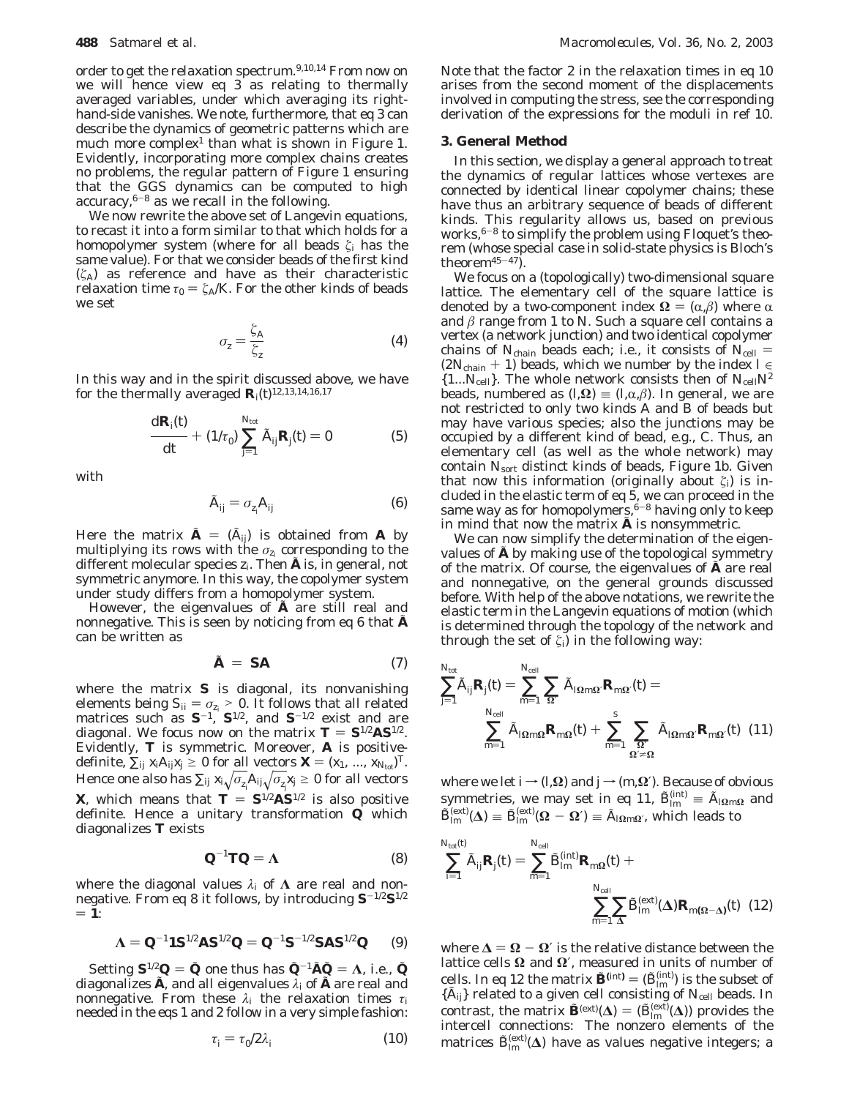order to get the relaxation spectrum.<sup>9,10,14</sup> From now on we will hence view eq  $3$  as relating to thermally averaged variables, under which averaging its righthand-side vanishes. We note, furthermore, that eq 3 can describe the dynamics of geometric patterns which are much more complex<sup>1</sup> than what is shown in Figure 1. Evidently, incorporating more complex chains creates no problems, the regular pattern of Figure 1 ensuring that the GGS dynamics can be computed to high  $accuracy, <sup>6-8</sup>$  as we recall in the following.

We now rewrite the above set of Langevin equations, to recast it into a form similar to that which holds for a homopolymer system (where for all beads  $\zeta_i$  has the same value). For that we consider beads of the first kind  $(\zeta_A)$  as reference and have as their characteristic relaxation time  $\tau_0 = \zeta_A/K$ . For the other kinds of beads we set

$$
\sigma_{z} = \frac{\zeta_{A}}{\zeta_{z}} \tag{4}
$$

In this way and in the spirit discussed above, we have for the thermally averaged  $\mathbf{R}_i(t)^{12,13,14,16,17}$ 

$$
\frac{\mathrm{d} \mathbf{R}_j(t)}{\mathrm{d} t} + (1/\tau_0) \sum_{j=1}^{N_{\text{tot}}} \tilde{A}_{ij} \mathbf{R}_j(t) = 0 \tag{5}
$$

with

$$
\tilde{A}_{ij} = \sigma_{z_i} A_{ij} \tag{6}
$$

Here the matrix  $\tilde{A} = (\tilde{A}_{ij})$  is obtained from *A* by multiplying its rows with the  $\sigma_{z_i}$  corresponding to the different molecular species  $z_i$ . Then  $\tilde{A}$  is, in general, not symmetric anymore. In this way, the copolymer system under study differs from a homopolymer system.

However, the eigenvalues of  $\tilde{A}$  are still real and nonnegative. This is seen by noticing from eq 6 that  $\tilde{A}$ can be written as

$$
\tilde{A} = SA \tag{7}
$$

where the matrix *S* is diagonal, its nonvanishing elements being  $S_{ii} = \sigma_{z_i} > 0$ . It follows that all related matrices such as  $S^{-1}$ ,  $S^{1/2}$ , and  $S^{-1/2}$  exist and are diagonal. We focus now on the matrix  $T = S^{1/2}AS^{1/2}$ . Evidently, *T* is symmetric. Moreover, *A* is positivedefinite,  $\sum_{ij} x_i A_{ij} x_j \ge 0$  for all vectors  $\boldsymbol{X} = (x_1, \ldots, x_{N_{\text{tot}}})^T$ . Hence one also has  $\sum_{ij} x_i \sqrt{\sigma_{z_i}} A_{ij} \sqrt{\sigma_{z_j}} x_j \ge 0$  for all vectors *X*, which means that  $T = S^{1/2}AS^{1/2}$  is also positive definite. Hence a unitary transformation *Q* which diagonalizes *T* exists

$$
\mathbf{Q}^{-1}\mathbf{T}\mathbf{Q} = \mathbf{\Lambda} \tag{8}
$$

where the diagonal values *λ<sup>i</sup>* of **Λ** are real and nonnegative. From eq 8 it follows, by introducing *S*-1/2*S*1/2  $= 1$ :

$$
\Lambda = Q^{-1} \mathbf{1} S^{1/2} A S^{1/2} Q = Q^{-1} S^{-1/2} S A S^{1/2} Q \qquad (9)
$$

Setting  $S^{1/2}Q = Q$  one thus has  $Q^{-1}AQ = \Lambda$ , i.e.,  $Q$ diagonalizes  $\tilde{A}$ , and all eigenvalues  $\lambda_i$  of  $\tilde{A}$  are real and nonnegative. From these *λ<sup>i</sup>* the relaxation times *τ*<sup>i</sup> needed in the eqs 1 and 2 follow in a very simple fashion:

$$
\tau_i = \tau_0 / 2\lambda_i \tag{10}
$$

Note that the factor 2 in the relaxation times in eq 10 arises from the second moment of the displacements involved in computing the stress, see the corresponding derivation of the expressions for the moduli in ref 10.

#### **3. General Method**

In this section, we display a general approach to treat the dynamics of regular lattices whose vertexes are connected by identical linear copolymer chains; these have thus an arbitrary sequence of beads of different kinds. This regularity allows us, based on previous works, $6-8$  to simplify the problem using Floquet's theorem (whose special case in solid-state physics is Bloch's theorem $45-47$ .

We focus on a (topologically) two-dimensional square lattice. The elementary cell of the square lattice is denoted by a two-component index  $\Omega = (\alpha, \beta)$  where α and  $\beta$  range from 1 to N. Such a square cell contains a vertex (a network junction) and two identical copolymer chains of  $N_{\text{chain}}$  beads each; i.e., it consists of  $N_{\text{cell}} =$ ( $2N_{\text{chain}} + 1$ ) beads, which we number by the index  $l \in$  $\{1...N_{\text{cell}}\}$ . The whole network consists then of  $N_{\text{cell}}N^2$ beads, numbered as  $(l, \Omega)$  =  $(l, \alpha, \beta)$ . In general, we are not restricted to only two kinds A and B of beads but may have various species; also the junctions may be occupied by a different kind of bead, e.g., C. Thus, an elementary cell (as well as the whole network) may contain *N*sort distinct kinds of beads, Figure 1b. Given that now this information (originally about  $\zeta_i$ ) is included in the elastic term of eq 5, we can proceed in the same way as for homopolymers,  $6-8$  having only to keep in mind that now the matrix  $\tilde{A}$  is nonsymmetric.

We can now simplify the determination of the eigenvalues of  $\tilde{A}$  by making use of the topological symmetry of the matrix. Of course, the eigenvalues of *<sup>A</sup>*˜ are real and nonnegative, on the general grounds discussed before. With help of the above notations, we rewrite the elastic term in the Langevin equations of motion (which is determined through the topology of the network and through the set of  $\zeta_i$  in the following way:

$$
\sum_{j=1}^{N_{\text{tot}}} \tilde{A}_{ij} \mathbf{R}_{j}(t) = \sum_{m=1}^{N_{\text{cell}}} \sum_{\Omega'} \tilde{A}_{i\Omega m\Omega'} \mathbf{R}_{m\Omega'}(t) =
$$
\n
$$
\sum_{m=1}^{N_{\text{cell}}} \tilde{A}_{i\Omega m\Omega} \mathbf{R}_{m\Omega}(t) + \sum_{m=1}^{s} \sum_{\Omega'} \tilde{A}_{i\Omega m\Omega'} \mathbf{R}_{m\Omega'}(t) \tag{11}
$$

where we let *i* →  $(l, Ω)$  and  $j$  →  $(m, Ω)$ . Because of obvious symmetries, we may set in eq 11,  $\tilde{B}_{lm}^{(\text{int})} \equiv \tilde{A}_{lmnQ}$  and  $\tilde{B}_{lm}^{(\text{ext})}(\Lambda) = \tilde{B}_{\text{ext}}^{(\text{ext})}(\Omega - \Omega') = \tilde{A}_{\text{max}}$  which loods to  $\tilde{B}_{lm}^{(ext)}(\mathbf{\Delta}) \equiv \tilde{B}_{lm}^{(ext)}(\mathbf{\Omega} - \mathbf{\Omega}') \equiv \tilde{A}_{\mathbf{\Omega}m\mathbf{\Omega}'}$ , which leads to

$$
\sum_{i=1}^{N_{\text{tot}}(\theta)} \tilde{A}_{ij} \mathbf{R}_{j}(t) = \sum_{m=1}^{N_{\text{cell}}} \tilde{B}_{lm}^{(\text{int})} \mathbf{R}_{m\Omega}(t) + \sum_{\substack{N_{\text{cell}} \\ m=1}}^{N_{\text{cell}}} \sum_{\Delta} \tilde{B}_{lm}^{(\text{ext})}(\Delta) \mathbf{R}_{m(\Omega-\Delta)}(t) \tag{12}
$$

where  $\Delta = \Omega - \Omega'$  is the relative distance between the lattice cells  $\Omega$  and  $\Omega'$ , measured in units of number of cells. In eq 12 the matrix  $\tilde{\mathbf{B}}^{(\text{int})} = (\tilde{B}_{lin}^{(\text{int})})$  is the subset of  $\tilde{A}_{nl}$  related to a given cell consisting of  $N_{\text{cell}}$  beads. In {*A*<sub>*ij*</sub>} related to a given cell consisting of *N*<sub>cell</sub> beads. In contrast, the matrix  $\tilde{\mathbf{P}}(ext)(\mathbf{A}) = (\tilde{\mathbf{P}}(ext)(\mathbf{A}))$  provides the contrast, the matrix  $\tilde{\mathbf{B}}^{(ext)}(\Delta) = (\tilde{B}_{lm}^{(ext)}(\Delta))$  provides the intercell connections: The nonzero elements of the intercell connections: The nonzero elements of the matrices  $\tilde{B}_{lm}^{\text{(ext)}}(\Delta)$  have as values negative integers; a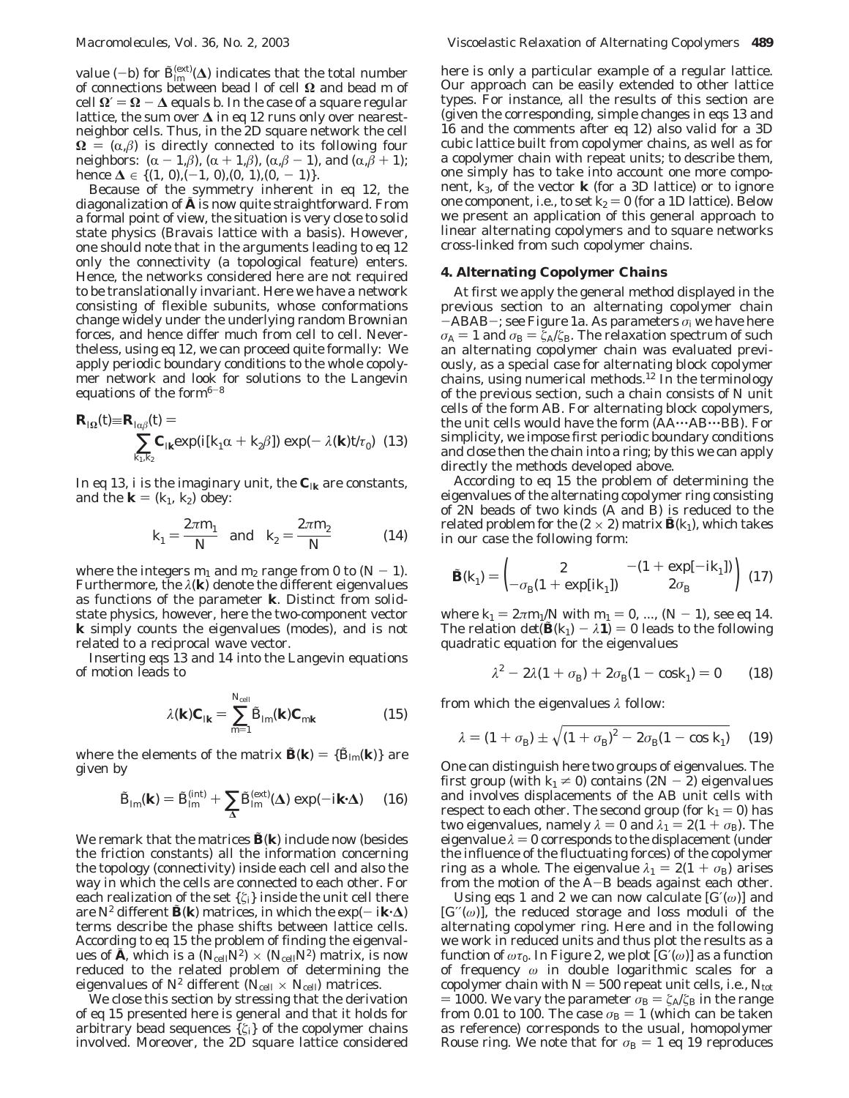value  $(-b)$  for  $\tilde{B}_{lm}^{(ext)}(\Delta)$  indicates that the total number<br>of connections hetween bead *l* of cell **Q** and bead *m* of of connections between bead *l* of cell **Ω** and bead *m* of  $\text{cell } Ω′ = Ω − Δ \text{ equals } b$ . In the case of a square regular lattice, the sum over **∆** in eq 12 runs only over nearestneighbor cells. Thus, in the 2D square network the cell  $\Omega = (\alpha, \beta)$  is directly connected to its following four neighbors:  $(\alpha - 1, \beta)$ ,  $(\alpha + 1, \beta)$ ,  $(\alpha, \beta - 1)$ , and  $(\alpha, \beta + 1)$ ; hence  $\Delta \in \{(1, 0), (-1, 0), (0, 1), (0, -1)\}.$ 

Because of the symmetry inherent in eq 12, the diagonalization of  $\tilde{A}$  is now quite straightforward. From a formal point of view, the situation is very close to solid state physics (Bravais lattice with a basis). However, one should note that in the arguments leading to eq 12 only the connectivity (a topological feature) enters. Hence, the networks considered here are not required to be translationally invariant. Here we have a network consisting of flexible subunits, whose conformations change widely under the underlying random Brownian forces, and hence differ much from cell to cell. Nevertheless, using eq 12, we can proceed quite formally: We apply periodic boundary conditions to the whole copolymer network and look for solutions to the Langevin equations of the form $6-8$ 

$$
\mathbf{R}_{I\Omega}(t) = \mathbf{R}_{I\alpha\beta}(t) = \sum_{k_1, k_2} \mathbf{C}_{I\mathbf{k}} \exp(i[k_1\alpha + k_2\beta]) \exp(-\lambda(\mathbf{k})t/\tau_0) \tag{13}
$$

In eq 13, *i* is the imaginary unit, the  $C_{ik}$  are constants, and the  $\mathbf{k} = (k_1, k_2)$  obey:

$$
k_1 = \frac{2\pi m_1}{N}
$$
 and  $k_2 = \frac{2\pi m_2}{N}$  (14)

where the integers  $m_1$  and  $m_2$  range from 0 to  $(N - 1)$ . Furthermore, the *λ*(**k**) denote the different eigenvalues as functions of the parameter **k**. Distinct from solidstate physics, however, here the two-component vector **k** simply counts the eigenvalues (modes), and is not related to a reciprocal wave vector.

Inserting eqs 13 and 14 into the Langevin equations of motion leads to

$$
\lambda(\mathbf{k})\,\mathbf{C}_{I\mathbf{k}} = \sum_{m=1}^{N_{\text{cell}}} \tilde{B}_{lm}(\mathbf{k})\,\mathbf{C}_{m\mathbf{k}} \tag{15}
$$

where the elements of the matrix  $\mathbf{\tilde{B}}(\mathbf{k}) = {\tilde{B}_{lm}(\mathbf{k})}$  are given by

$$
\tilde{B}_{lm}(\mathbf{k}) = \tilde{B}_{lm}^{(\text{int})} + \sum_{\Delta} \tilde{B}_{lm}^{(\text{ext})}(\Delta) \exp(-i\mathbf{k} \cdot \Delta) \qquad (16)
$$

We remark that the matrices  $\tilde{B}(\mathbf{k})$  include now (besides the friction constants) all the information concerning the topology (connectivity) inside each cell and also the way in which the cells are connected to each other. For each realization of the set  $\{\zeta_i\}$  inside the unit cell there are  $N^2$  different  $\mathbf{\tilde{B}}(\mathbf{k})$  matrices, in which the exp(-  $i\mathbf{k} \cdot \Delta$ ) terms describe the phase shifts between lattice cells. According to eq 15 the problem of finding the eigenvalues of  $\tilde{A}$ , which is a ( $N_{\text{cell}}N^2$ ) × ( $N_{\text{cell}}N^2$ ) matrix, is now reduced to the related problem of determining the eigenvalues of  $N^2$  different ( $N_{cell} \times N_{cell}$ ) matrices.

We close this section by stressing that the derivation of eq 15 presented here is general and that it holds for arbitrary bead sequences  $\{\zeta_i\}$  of the copolymer chains involved. Moreover, the 2D square lattice considered

here is only a particular example of a regular lattice. Our approach can be easily extended to other lattice types. For instance, all the results of this section are (given the corresponding, simple changes in eqs 13 and 16 and the comments after eq 12) also valid for a 3D cubic lattice built from copolymer chains, as well as for a copolymer chain with repeat units; to describe them, one simply has to take into account one more component, *k*3, of the vector **k** (for a 3D lattice) or to ignore one component, i.e., to set  $k_2 = 0$  (for a 1D lattice). Below we present an application of this general approach to linear alternating copolymers and to square networks cross-linked from such copolymer chains.

# **4. Alternating Copolymer Chains**

At first we apply the general method displayed in the previous section to an alternating copolymer chain  $-ABAB-$ ; see Figure 1a. As parameters  $\sigma_i$  we have here  $σ_A = 1$  and  $σ_B = ξ_A/ξ_B$ . The relaxation spectrum of such an alternating copolymer chain was evaluated previously, as a special case for alternating block copolymer chains, using numerical methods.12 In the terminology of the previous section, such a chain consists of *N* unit cells of the form AB. For alternating block copolymers, the unit cells would have the form (AA'''AB'''BB). For simplicity, we impose first periodic boundary conditions and close then the chain into a ring; by this we can apply directly the methods developed above.

According to eq 15 the problem of determining the eigenvalues of the alternating copolymer ring consisting of 2*N* beads of two kinds (A and B) is reduced to the related problem for the  $(2 \times 2)$  matrix  $\tilde{\mathbf{B}}(k_1)$ , which takes in our case the following form:

$$
\tilde{\mathbf{B}}(k_1) = \begin{pmatrix} 2 & -(1 + \exp[-ik_1]) \\ -\sigma_{\rm B}(1 + \exp[ik_1]) & 2\sigma_{\rm B} \end{pmatrix} (17)
$$

where  $k_1 = 2\pi m_1/N$  with  $m_1 = 0, ..., (N - 1)$ , see eq 14. The relation  $det(\mathbf{\tilde{B}}(k_1) - \lambda \mathbf{1}) = 0$  leads to the following quadratic equation for the eigenvalues

$$
\lambda^2 - 2\lambda (1 + \sigma_{\rm B}) + 2\sigma_{\rm B} (1 - \cos k_1) = 0 \qquad (18)
$$

from which the eigenvalues *λ* follow:

$$
\lambda = (1 + \sigma_{\rm B}) \pm \sqrt{(1 + \sigma_{\rm B})^2 - 2\sigma_{\rm B}(1 - \cos k_1)} \quad (19)
$$

One can distinguish here two groups of eigenvalues. The first group (with  $k_1 \neq 0$ ) contains  $(2N - 2)$  eigenvalues and involves displacements of the AB unit cells with respect to each other. The second group (for  $k_1 = 0$ ) has two eigenvalues, namely  $\lambda = 0$  and  $\lambda_1 = 2(1 + \sigma_B)$ . The eigenvalue  $\lambda = 0$  corresponds to the displacement (under the influence of the fluctuating forces) of the copolymer ring as a whole. The eigenvalue  $\lambda_1 = 2(1 + \sigma_B)$  arises from the motion of the A-B beads against each other.

Using eqs 1 and 2 we can now calculate  $[G(\omega)]$  and [*G*′′(*ω*)], the reduced storage and loss moduli of the alternating copolymer ring. Here and in the following we work in reduced units and thus plot the results as a function of  $\omega \tau_0$ . In Figure 2, we plot  $[G(\omega)]$  as a function of frequency *ω* in double logarithmic scales for a copolymer chain with  $N = 500$  repeat unit cells, i.e.,  $N_{\text{tot}}$  $= 1000$ . We vary the parameter *σ*<sub>B</sub>  $= \zeta$ <sup> $\Delta$ </sup>/ $\zeta$ <sup>B</sup> in the range from 0.01 to 100. The case  $\sigma_{\rm B} = 1$  (which can be taken as reference) corresponds to the usual, homopolymer Rouse ring. We note that for  $\sigma_B = 1$  eq 19 reproduces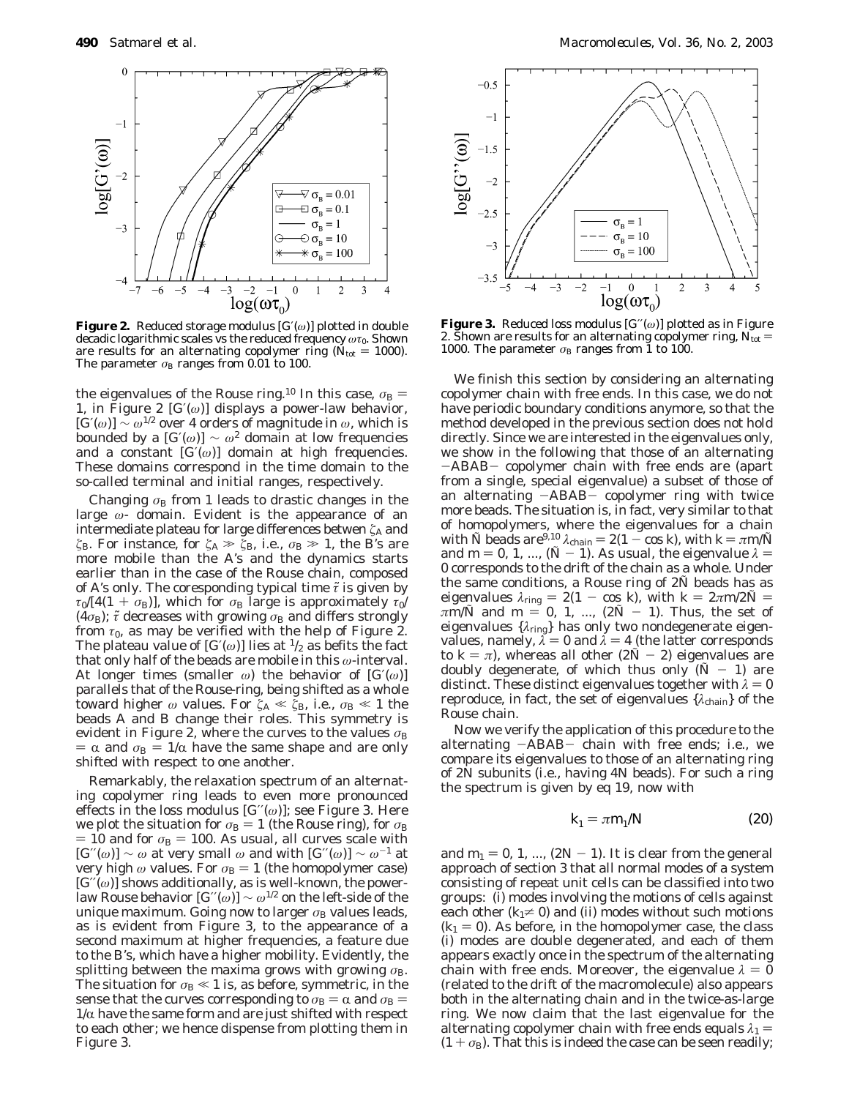

**Figure 2.** Reduced storage modulus [*G*′(*ω*)] plotted in double decadic logarithmic scales vs the reduced frequency *ωτ*0. Shown are results for an alternating copolymer ring ( $N_{\text{tot}} = 1000$ ). The parameter  $\sigma_B$  ranges from 0.01 to 100.

the eigenvalues of the Rouse ring.<sup>10</sup> In this case,  $\sigma_{\rm B}$  = 1, in Figure 2  $[G(\omega)]$  displays a power-law behavior,  $[G(\omega)] \sim \omega^{1/2}$  over 4 orders of magnitude in  $\omega$ , which is bounded by a  $[G'(\omega)] \sim \omega^2$  domain at low frequencies and a constant [*G*′(*ω*)] domain at high frequencies. These domains correspond in the time domain to the so-called terminal and initial ranges, respectively.

Changing  $\sigma_B$  from 1 leads to drastic changes in the large *ω*- domain. Evident is the appearance of an intermediate plateau for large differences betwen ζ<sub>A</sub> and *ξ*<sub>B</sub>. For instance, for *ξ*<sub>A</sub>  $\gg$  *ζ*<sub>B</sub>, i.e., *σ*<sub>B</sub>  $\gg$  1, the B's are more mobile than the A's and the dynamics starts earlier than in the case of the Rouse chain, composed of A's only. The coresponding typical time *τ*˜ is given by  $\tau_0/[4(1 + \sigma_B)]$ , which for  $\sigma_B$  large is approximately  $\tau_0/$  $(4\sigma_{\rm B})$ ;  $\tilde{\tau}$  decreases with growing  $\sigma_{\rm B}$  and differs strongly from  $\tau_0$ , as may be verified with the help of Figure 2. The plateau value of  $[G(\omega)]$  lies at  $\frac{1}{2}$  as befits the fact that only half of the beads are mobile in this *ω*-interval. At longer times (smaller *ω*) the behavior of [*G*′(*ω*)] parallels that of the Rouse-ring, being shifted as a whole toward higher  $\omega$  values. For  $\zeta_A \ll \zeta_B$ , i.e.,  $\sigma_B \ll 1$  the beads A and B change their roles. This symmetry is evident in Figure 2, where the curves to the values  $\sigma_{\rm B}$  $= \alpha$  and  $\sigma_{\rm B} = 1/\alpha$  have the same shape and are only shifted with respect to one another.

Remarkably, the relaxation spectrum of an alternating copolymer ring leads to even more pronounced effects in the loss modulus  $[G''(\omega)]$ ; see Figure 3. Here we plot the situation for  $\sigma_{\rm B} = 1$  (the Rouse ring), for  $\sigma_{\rm B}$  $=$  10 and for  $\sigma_{\rm B}$  = 100. As usual, all curves scale with  $[G''(\omega)] \sim \omega$  at very small  $\omega$  and with  $[G''(\omega)] \sim \omega^{-1}$  at very high  $\omega$  values. For  $\sigma_B = 1$  (the homopolymer case) [*G*′′(*ω*)] shows additionally, as is well-known, the powerlaw Rouse behavior  $[G''(\omega)] \sim \omega^{1/2}$  on the left-side of the unique maximum. Going now to larger  $\sigma_{\rm B}$  values leads, as is evident from Figure 3, to the appearance of a second maximum at higher frequencies, a feature due to the B's, which have a higher mobility. Evidently, the splitting between the maxima grows with growing  $\sigma_{\text{B}}$ . The situation for  $\sigma_{\rm B} \ll 1$  is, as before, symmetric, in the sense that the curves corresponding to  $\sigma_B = \alpha$  and  $\sigma_B =$  $1/\alpha$  have the same form and are just shifted with respect to each other; we hence dispense from plotting them in Figure 3.



**Figure 3.** Reduced loss modulus [*G*′′(*ω*)] plotted as in Figure 2. Shown are results for an alternating copolymer ring,  $N_{\text{tot}} =$ 1000. The parameter  $\sigma_{\rm B}$  ranges from 1 to 100.

We finish this section by considering an alternating copolymer *chain* with free ends. In this case, we do not have periodic boundary conditions anymore, so that the method developed in the previous section does not hold directly. Since we are interested in the eigenvalues only, we show in the following that those of an alternating -ABAB- copolymer chain with free ends are (apart from a single, special eigenvalue) a subset of those of an alternating -ABAB- copolymer ring with twice more beads. The situation is, in fact, very similar to that of homopolymers, where the eigenvalues for a chain with  $\tilde{N}$  beads are<sup>9,10</sup>  $\lambda$ <sub>chain</sub> = 2(1 - cos *k*), with  $k = \pi m/\tilde{N}$ and  $m = 0, 1, ..., (\tilde{N} - 1)$ . As usual, the eigenvalue  $\lambda =$ 0 corresponds to the drift of the chain as a whole. Under the same conditions, a Rouse ring of 2*N*˜ beads has as eigenvalues  $\lambda_{\text{ring}} = 2(1 - \cos k)$ , with  $k = 2\pi m/2N =$ <br> $\pi m/\tilde{N}$  and  $m = 0, 1$  ( $2\tilde{N} - 1$ ). Thus the set of *πm/N* and  $m = 0, 1, ..., (2N - 1)$ . Thus, the set of eigenvalues  $\{i_{\text{min}}\}$  has only two nondegenerate eigeneigenvalues {*λ*ring} has only two nondegenerate eigenvalues, namely,  $\lambda = 0$  and  $\lambda = 4$  (the latter corresponds to  $k = \pi$ ), whereas all other  $(2\tilde{N} - 2)$  eigenvalues are doubly degenerate, of which thus only  $(N - 1)$  are distinct. These distinct eigenvalues together with  $\lambda = 0$ reproduce, in fact, the set of eigenvalues  $\{\lambda_{\text{chain}}\}$  of the Rouse chain.

Now we verify the application of this procedure to the alternating -ABAB- chain with free ends; i.e., we compare its eigenvalues to those of an alternating ring of 2*N* subunits (i.e., having 4*N* beads). For such a ring the spectrum is given by eq 19, now with

$$
k_1 = \pi m_1/N \tag{20}
$$

and  $m_1 = 0, 1, ..., (2N - 1)$ . It is clear from the general approach of section 3 that all normal modes of a system consisting of repeat unit cells can be classified into two groups: (i) modes involving the motions of cells against each other  $(k_1 \neq 0)$  and (ii) modes without such motions  $(k_1 = 0)$ . As before, in the homopolymer case, the class (i) modes are double degenerated, and each of them appears exactly once in the spectrum of the alternating chain with free ends. Moreover, the eigenvalue  $\lambda = 0$ (related to the drift of the macromolecule) also appears both in the alternating chain and in the twice-as-large ring. We now claim that the last eigenvalue for the alternating copolymer chain with free ends equals  $\lambda_1 =$  $(1 + \sigma_B)$ . That this is indeed the case can be seen readily;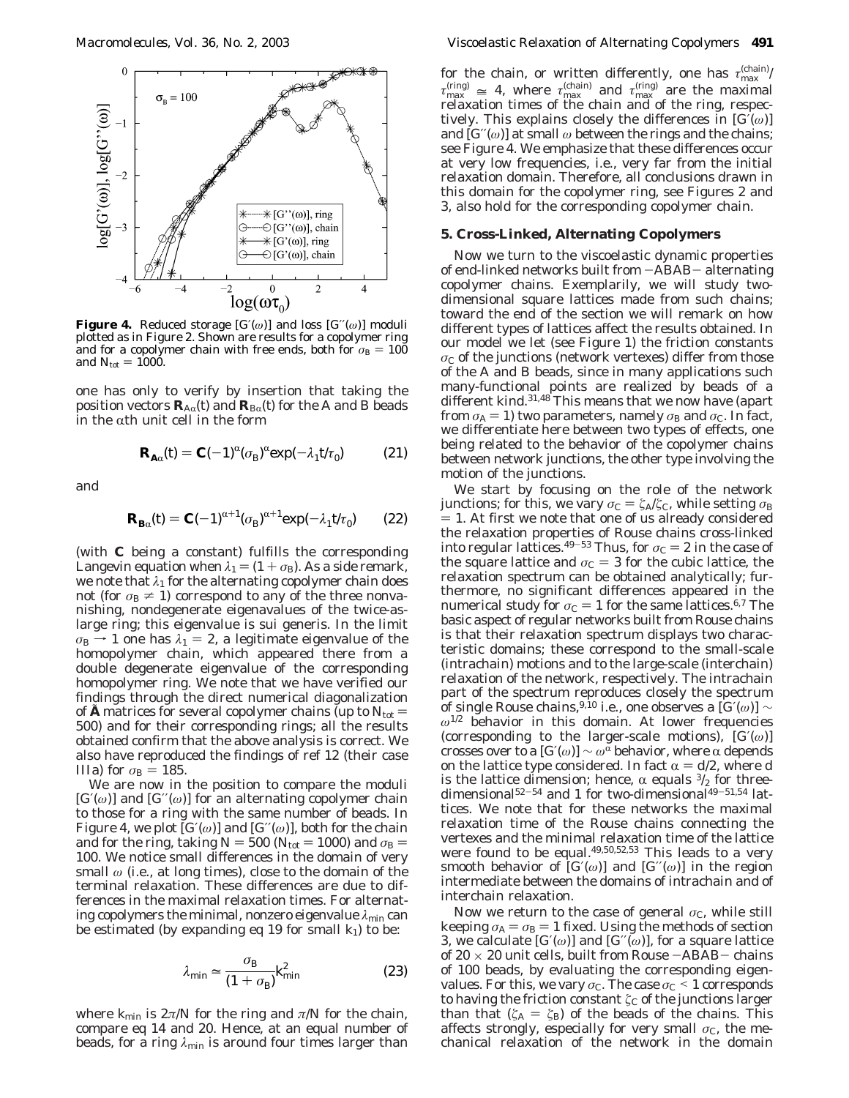

**Figure 4.** Reduced storage  $[G(\omega)]$  and loss  $[G'(\omega)]$  moduli plotted as in Figure 2. Shown are results for a copolymer ring and for a copolymer chain with free ends, both for  $\sigma_{\rm B} = 100$ and  $N_{\text{tot}} = 1000$ .

one has only to verify by insertion that taking the position vectors  $\mathbf{R}_{A\alpha}(t)$  and  $\mathbf{R}_{B\alpha}(t)$  for the A and B beads in the  $\alpha$ th unit cell in the form

$$
\mathbf{R}_{\mathbf{A}\alpha}(t) = \mathbf{C}(-1)^{\alpha} (\sigma_{\mathbf{B}})^{\alpha} \exp(-\lambda_1 t/\tau_0) \tag{21}
$$

and

$$
\mathbf{R}_{\mathbf{B}\alpha}(t) = \mathbf{C}(-1)^{\alpha+1} (\sigma_{\mathbf{B}})^{\alpha+1} \exp(-\lambda_1 t/\tau_0) \qquad (22)
$$

(with *C* being a constant) fulfills the corresponding Langevin equation when  $\lambda_1 = (1 + \sigma_B)$ . As a side remark, we note that  $\lambda_1$  for the alternating copolymer chain does not (for  $\sigma_B \neq 1$ ) correspond to any of the three nonvanishing, nondegenerate eigenavalues of the twice-aslarge ring; this eigenvalue is sui generis. In the limit  $\sigma_{\rm B}$   $\rightarrow$  1 one has  $\lambda_1$  = 2, a legitimate eigenvalue of the homopolymer chain, which appeared there from a double degenerate eigenvalue of the corresponding homopolymer ring. We note that we have verified our findings through the direct numerical diagonalization of  $\boldsymbol{A}$  matrices for several copolymer chains (up to  $N_{\text{tot}} =$ 500) and for their corresponding rings; all the results obtained confirm that the above analysis is correct. We also have reproduced the findings of ref 12 (their case IIIa) for  $\sigma_{\rm B} = 185$ .

We are now in the position to compare the moduli [*G*′(*ω*)] and [*G*′′(*ω*)] for an alternating copolymer chain to those for a ring with the same number of beads. In Figure 4, we plot  $[G'(\omega)]$  and  $[G''(\omega)]$ , both for the chain and for the ring, taking  $N = 500$  ( $N_{\text{tot}} = 1000$ ) and  $\sigma_{\text{B}} =$ 100. We notice small differences in the domain of very small *ω* (i.e., at long times), close to the domain of the terminal relaxation. These differences are due to differences in the maximal relaxation times. For alternating copolymers the minimal, nonzero eigenvalue λ<sub>min</sub> can be estimated (by expanding eq 19 for small  $k_1$ ) to be:

$$
\lambda_{\min} \simeq \frac{\sigma_{\rm B}}{(1 + \sigma_{\rm B})} k_{\min}^2 \tag{23}
$$

where  $k_{\text{min}}$  is  $2\pi/N$  for the ring and  $\pi/N$  for the chain, compare eq 14 and 20. Hence, at an equal number of beads, for a ring *λ*min is around four times larger than

for the chain, or written differently, one has  $τ^{(chain)}_{max}$ /  $\tau_{\text{max}}^{(\text{ring})} \cong 4$ , where  $\tau_{\text{max}}^{(\text{chain})}$  and  $\tau_{\text{max}}^{(\text{ring})}$  are the maximal relaxation times of the chain and of the ring respecrelaxation times of the chain and of the ring, respectively. This explains closely the differences in [*G*′(*ω*)] and  $[G''(\omega)]$  at small  $\omega$  between the rings and the chains; see Figure 4. We emphasize that these differences occur at very low frequencies, i.e., very far from the initial relaxation domain. Therefore, all conclusions drawn in this domain for the copolymer ring, see Figures 2 and 3, also hold for the corresponding copolymer chain.

# **5. Cross-Linked, Alternating Copolymers**

Now we turn to the viscoelastic dynamic properties of end-linked networks built from -ABAB- alternating copolymer chains. Exemplarily, we will study twodimensional square lattices made from such chains; toward the end of the section we will remark on how different types of lattices affect the results obtained. In our model we let (see Figure 1) the friction constants *σ*<sub>C</sub> of the junctions (network vertexes) differ from those of the A and B beads, since in many applications such many-functional points are realized by beads of a different kind.<sup>31,48</sup> This means that we now have (apart from  $\sigma_{A} = 1$ ) two parameters, namely  $\sigma_{B}$  and  $\sigma_{C}$ . In fact, we differentiate here between two types of effects, one being related to the behavior of the copolymer chains between network junctions, the other type involving the motion of the junctions.

We start by focusing on the role of the network *junctions;* for this, we vary  $\sigma$ <sub>C</sub> =  $\zeta$ <sub>Δ</sub>/ $\zeta$ <sub>C</sub>, while setting  $\sigma$ <sub>B</sub>  $=$  1. At first we note that one of us already considered the relaxation properties of Rouse chains cross-linked into regular lattices.<sup>49–53</sup> Thus, for  $\sigma_C = 2$  in the case of the square lattice and  $\sigma_{\rm C} = 3$  for the cubic lattice, the relaxation spectrum can be obtained analytically; furthermore, no significant differences appeared in the numerical study for  $\sigma_C = 1$  for the same lattices.<sup>6,7</sup> The basic aspect of regular networks built from Rouse chains is that their relaxation spectrum displays two characteristic domains; these correspond to the small-scale (intrachain) motions and to the large-scale (interchain) relaxation of the network, respectively. The intrachain part of the spectrum reproduces closely the spectrum of single Rouse chains,9,10 i.e., one observes a [*G*′(*ω*)] ∼ *ω*1/2 behavior in this domain. At lower frequencies (corresponding to the larger-scale motions), [*G*′(*ω*)] crosses over to a  $[G(\omega)] \sim \omega^{\alpha}$  behavior, where  $\alpha$  depends on the lattice type considered. In fact  $\alpha = d/2$ , where *d* is the lattice dimension; hence,  $\alpha$  equals  $\frac{3}{2}$  for threedimensional $52-54$  and 1 for two-dimensional $49-51,54$  lattices. We note that for these networks the maximal relaxation time of the Rouse chains connecting the vertexes and the minimal relaxation time of the lattice were found to be equal.<sup>49,50,52,53</sup> This leads to a very smooth behavior of  $[G(\omega)]$  and  $[G'(\omega)]$  in the region intermediate between the domains of intrachain and of interchain relaxation.

Now we return to the case of general  $\sigma_c$ , while still keeping  $\sigma_{A} = \sigma_{B} = 1$  fixed. Using the methods of section 3, we calculate  $[G(\omega)]$  and  $[G'(\omega)]$ , for a square lattice of 20  $\times$  20 unit cells, built from Rouse  $-{\rm ABAB-}$  chains of 100 beads, by evaluating the corresponding eigenvalues. For this, we vary  $\sigma_C$ . The case  $\sigma_C \leq 1$  corresponds to having the friction constant  $\zeta_C$  of the junctions larger than that  $(\zeta_A = \zeta_B)$  of the beads of the chains. This affects strongly, especially for very small  $\sigma_c$ , the mechanical relaxation of the network in the domain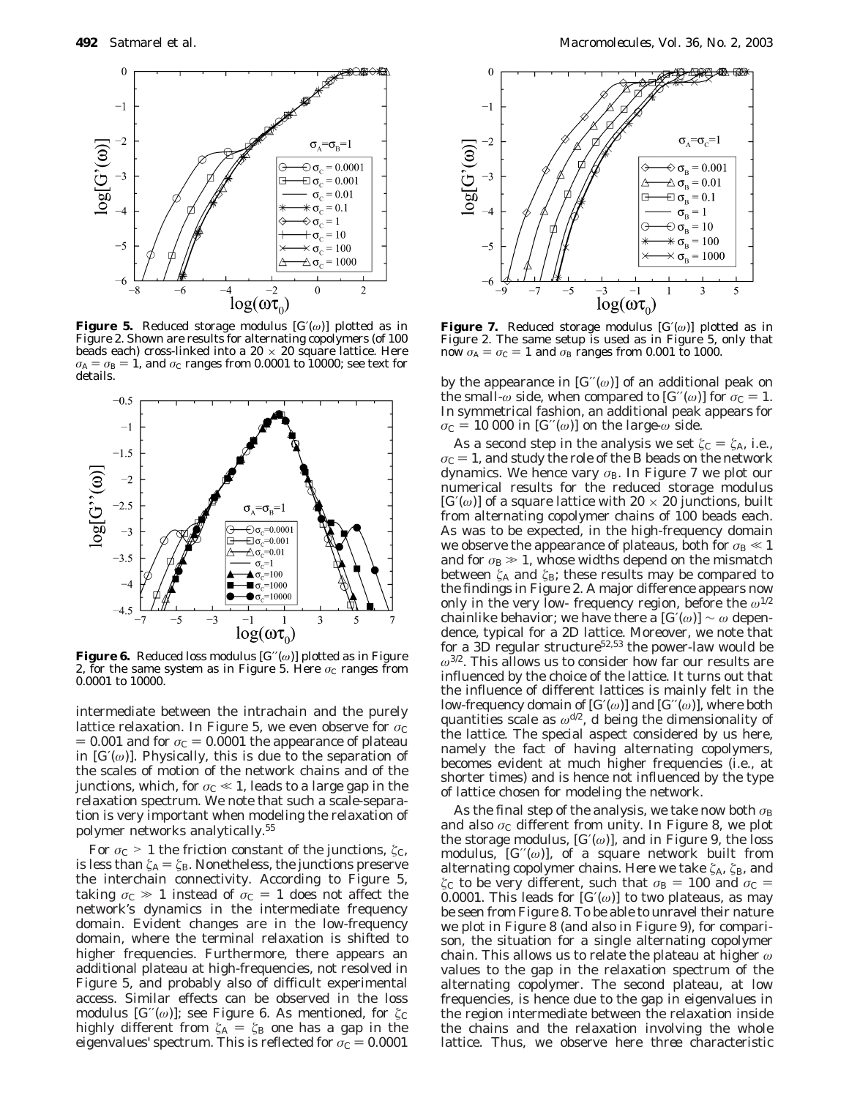

**Figure 5.** Reduced storage modulus [*G*′(*ω*)] plotted as in Figure 2. Shown are results for alternating copolymers (of 100 beads each) cross-linked into a 20  $\times$  20 square lattice. Here  $\sigma_{\rm A} = \sigma_{\rm B} = 1$ , and  $\sigma_{\rm C}$  ranges from 0.0001 to 10000; see text for details.



**Figure 6.** Reduced loss modulus [*G*′′(*ω*)] plotted as in Figure 2, for the same system as in Figure 5. Here  $\sigma_c$  ranges from 0.0001 to 10000.

intermediate between the intrachain and the purely lattice relaxation. In Figure 5, we even observe for  $\sigma_C$  $= 0.001$  and for  $\sigma_C = 0.0001$  the appearance of plateau in  $[G(\omega)]$ . Physically, this is due to the separation of the scales of motion of the network chains and of the junctions, which, for  $\sigma$ <sub>C</sub>  $\ll$  1, leads to a large gap in the relaxation spectrum. We note that such a scale-separation is very important when modeling the relaxation of polymer networks analytically.55

For *σ*<sub>C</sub> > 1 the friction constant of the junctions,  $ζ<sub>C</sub>$ , is less than  $\zeta_{\rm A} = \zeta_{\rm B}$  . Nonetheless, the junctions preserve the interchain connectivity. According to Figure 5, taking  $\sigma_c \gg 1$  instead of  $\sigma_c = 1$  does not affect the network's dynamics in the intermediate frequency domain. Evident changes are in the low-frequency domain, where the terminal relaxation is shifted to higher frequencies. Furthermore, there appears an additional plateau at high-frequencies, not resolved in Figure 5, and probably also of difficult experimental access. Similar effects can be observed in the loss modulus  $[G''(\omega)]$ ; see Figure 6. As mentioned, for  $\zeta_C$ highly different from  $\zeta_A = \zeta_B$  one has a gap in the eigenvalues' spectrum. This is reflected for  $\sigma_C = 0.0001$ 



**Figure 7.** Reduced storage modulus [*G*′(*ω*)] plotted as in Figure 2. The same setup is used as in Figure 5, only that now  $\sigma_A = \sigma_C = 1$  and  $\sigma_B$  ranges from 0.001 to 1000.

by the appearance in  $[G''(\omega)]$  of an additional peak on the *small-* $\omega$  side, when compared to  $[G''(\omega)]$  for  $\sigma_C = 1$ . In symmetrical fashion, an additional peak appears for  $\sigma_C = 10\,000$  in  $[G''(\omega)]$  on the *large-* $\omega$  side.

As a second step in the analysis we set  $\zeta_c = \zeta_A$ , i.e.,  $\sigma_{\rm C}$  = 1, and study the role of the B beads on the network dynamics. We hence vary *σ*<sub>B</sub>. In Figure 7 we plot our numerical results for the reduced storage modulus  $[G(\omega)]$  of a square lattice with 20  $\times$  20 junctions, built from alternating copolymer chains of 100 beads each. As was to be expected, in the high-frequency domain we observe the appearance of plateaus, both for  $\sigma_{\rm B} \ll 1$ and for  $\sigma_{\text{B}} \gg 1$ , whose widths depend on the mismatch between  $\zeta$ <sup>A</sup> and  $\zeta$ <sub>B</sub>; these results may be compared to the findings in Figure 2. A major difference appears now only in the very low- frequency region, before the  $\omega^{1/2}$ chainlike behavior; we have there a  $[G(\omega)] \sim \omega$  dependence, typical for a 2D lattice. Moreover, we note that for a 3D regular structure<sup>52,53</sup> the power-law would be *ω*3/2. This allows us to consider how far our results are influenced by the choice of the lattice. It turns out that the influence of different lattices is mainly felt in the low-frequency domain of  $[G(\omega)]$  and  $[G'(\omega)]$ , where both quantities scale as  $\omega^{d/2}$ , *d* being the dimensionality of the lattice. The special aspect considered by us here, namely the fact of having alternating copolymers, becomes evident at much higher frequencies (i.e., at shorter times) and is hence not influenced by the type of lattice chosen for modeling the network.

As the final step of the analysis, we take now both  $\sigma_{\text{B}}$ and also *σ*<sub>C</sub> different from unity. In Figure 8, we plot the storage modulus,  $[G(\omega)]$ , and in Figure 9, the loss modulus, [*G*′′(*ω*)], of a square network built from alternating copolymer chains. Here we take  $ζ$ <sub>A</sub>,  $ζ$ <sub>B</sub>, and *ξ*<sub>C</sub> to be very different, such that  $\sigma_B = 100$  and  $\sigma_C =$ 0.0001. This leads for  $[G(\omega)]$  to two plateaus, as may be seen from Figure 8. To be able to unravel their nature we plot in Figure 8 (and also in Figure 9), for comparison, the situation for a single alternating copolymer chain. This allows us to relate the plateau at higher *ω* values to the gap in the relaxation spectrum of the alternating copolymer. The second plateau, at low frequencies, is hence due to the gap in eigenvalues in the region intermediate between the relaxation inside the chains and the relaxation involving the whole lattice. Thus, we observe here *three* characteristic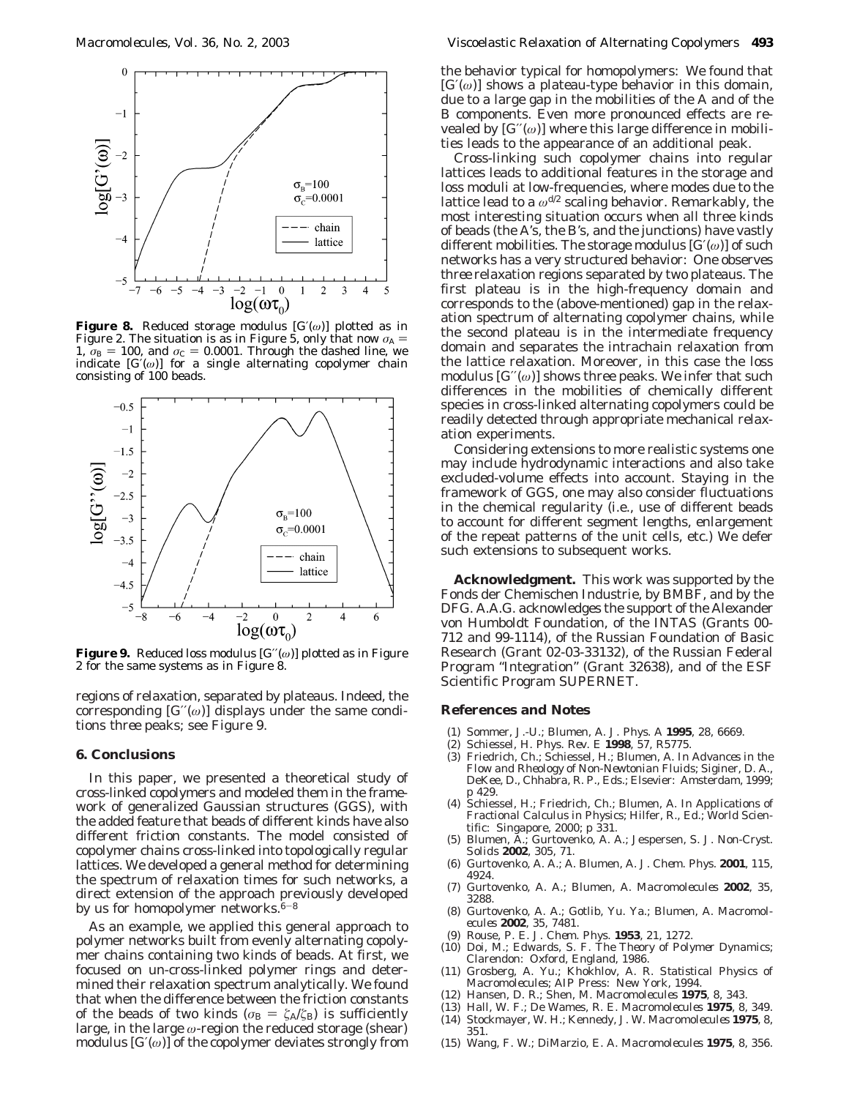

**Figure 8.** Reduced storage modulus [*G*′(*ω*)] plotted as in Figure 2. The situation is as in Figure 5, only that now  $\sigma_A$  = 1,  $\sigma_{\rm B}$  = 100, and  $\sigma_{\rm C}$  = 0.0001. Through the dashed line, we indicate  $[G(\omega)]$  for a single alternating copolymer chain consisting of 100 beads.



**Figure 9.** Reduced loss modulus [*G*′′(*ω*)] plotted as in Figure 2 for the same systems as in Figure 8.

regions of relaxation, separated by plateaus. Indeed, the corresponding  $[G''(\omega)]$  displays under the same conditions *three* peaks; see Figure 9.

#### **6. Conclusions**

In this paper, we presented a theoretical study of cross-linked copolymers and modeled them in the framework of generalized Gaussian structures (GGS), with the added feature that beads of different kinds have also different friction constants. The model consisted of copolymer chains cross-linked into topologically regular lattices. We developed a general method for determining the spectrum of relaxation times for such networks, a direct extension of the approach previously developed by us for homopolymer networks. $6-8$ 

As an example, we applied this general approach to polymer networks built from evenly alternating copolymer chains containing two kinds of beads. At first, we focused on un-cross-linked polymer rings and determined their relaxation spectrum analytically. We found that when the difference between the friction constants of the beads of two kinds ( $\sigma_B = \zeta_A/\zeta_B$ ) is sufficiently large, in the large *ω*-region the reduced storage (shear) modulus  $[G(\omega)]$  of the copolymer deviates strongly from

the behavior typical for homopolymers: We found that  $[G(\omega)]$  shows a plateau-type behavior in this domain, due to a large gap in the mobilities of the A and of the B components. Even more pronounced effects are revealed by  $[G''(\omega)]$  where this large difference in mobilities leads to the appearance of an additional peak.

Cross-linking such copolymer chains into regular lattices leads to additional features in the storage and loss moduli at low-frequencies, where modes due to the lattice lead to a  $ω^{d/2}$  scaling behavior. Remarkably, the most interesting situation occurs when all three kinds of beads (the A's, the B's, and the junctions) have vastly different mobilities. The storage modulus [*G*′(*ω*)] of such networks has a very structured behavior: One observes *three* relaxation regions separated by two plateaus. The first plateau is in the high-frequency domain and corresponds to the (above-mentioned) gap in the relaxation spectrum of alternating copolymer chains, while the second plateau is in the intermediate frequency domain and separates the intrachain relaxation from the lattice relaxation. Moreover, in this case the loss modulus  $[G''(\omega)]$  shows three peaks. We infer that such differences in the mobilities of chemically different species in cross-linked alternating copolymers could be readily detected through appropriate mechanical relaxation experiments.

Considering extensions to more realistic systems one may include hydrodynamic interactions and also take excluded-volume effects into account. Staying in the framework of GGS, one may also consider fluctuations in the chemical regularity (i.e., use of different beads to account for different segment lengths, enlargement of the repeat patterns of the unit cells, etc.) We defer such extensions to subsequent works.

**Acknowledgment.** This work was supported by the Fonds der Chemischen Industrie, by BMBF, and by the DFG. A.A.G. acknowledges the support of the Alexander von Humboldt Foundation, of the INTAS (Grants 00- 712 and 99-1114), of the Russian Foundation of Basic Research (Grant 02-03-33132), of the Russian Federal Program "Integration" (Grant 32638), and of the ESF Scientific Program SUPERNET.

## **References and Notes**

- (1) Sommer, J.-U.; Blumen, A. *J. Phys. A* **1995**, *28*, 6669.
- (2) Schiessel, H. *Phys. Rev. E* **1998**, *57*, R5775.
- (3) Friedrich, Ch.; Schiessel, H.; Blumen, A. In *Advances in the Flow and Rheology of Non-Newtonian Fluids*; Siginer, D. A., DeKee, D., Chhabra, R. P., Eds.; Elsevier: Amsterdam, 1999; p 429.
- (4) Schiessel, H.; Friedrich, Ch.; Blumen, A. In *Applications of Fractional Calculus in Physics*; Hilfer, R., Ed.; World Scientific: Singapore, 2000; p 331.
- (5) Blumen, A.; Gurtovenko, A. A.; Jespersen, S. *J. Non-Cryst. Solids* **2002**, *305*, 71.
- (6) Gurtovenko, A. A.; A. Blumen, A. *J. Chem. Phys.* **2001**, *115*, 4924.
- (7) Gurtovenko, A. A.; Blumen, A. *Macromolecules* **2002**, *35*, 3288.
- (8) Gurtovenko, A. A.; Gotlib, Yu. Ya.; Blumen, A. *Macromolecules* **2002**, *35*, 7481.
- (9) Rouse, P. E. *J. Chem. Phys.* **1953**, *21*, 1272.
- (10) Doi, M.; Edwards, S. F. *The Theory of Polymer Dynamics*; Clarendon: Oxford, England, 1986.
- (11) Grosberg, A. Yu.; Khokhlov, A. R. *Statistical Physics of Macromolecules*; AIP Press: New York, 1994.
- (12) Hansen, D. R.; Shen, M. *Macromolecules* **1975**, *8*, 343.
- (13) Hall, W. F.; De Wames, R. E. *Macromolecules* **1975**, *8*, 349.
- (14) Stockmayer, W. H.; Kennedy, J. W. *Macromolecules* **1975**, *8*, 351.
- (15) Wang, F. W.; DiMarzio, E. A. *Macromolecules* **1975**, *8*, 356.